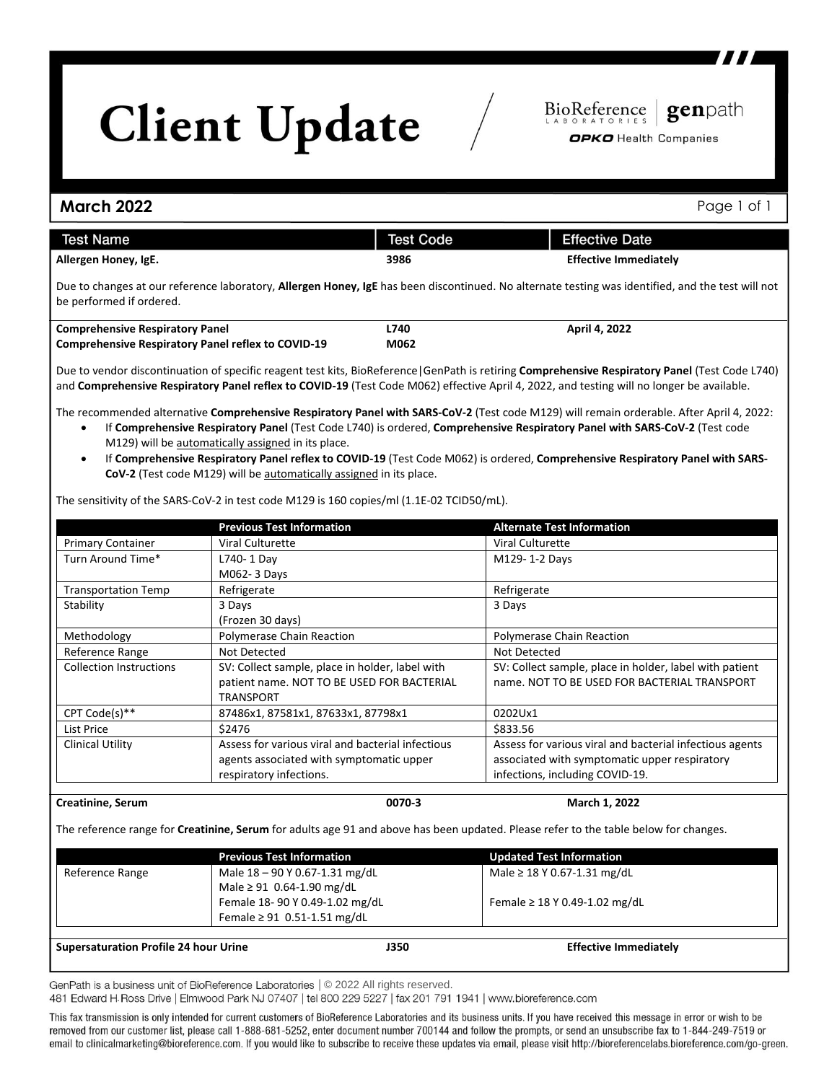## **Client Update**

genpath

BioReference

OPKO Health Companies

## **March 2022** Page 1 of 1 **Test Name Test Code Effective Date Allergen Honey, IgE. 3986 Effective Immediately** Due to changes at our reference laboratory, **Allergen Honey, IgE** has been discontinued. No alternate testing was identified, and the test will not be performed if ordered. **Comprehensive Respiratory Panel L740 April 4, 2022 Comprehensive Respiratory Panel reflex to COVID-19 M062** Due to vendor discontinuation of specific reagent test kits, BioReference|GenPath is retiring **Comprehensive Respiratory Panel** (Test Code L740) and **Comprehensive Respiratory Panel reflex to COVID-19** (Test Code M062) effective April 4, 2022, and testing will no longer be available. The recommended alternative **Comprehensive Respiratory Panel with SARS-CoV-2** (Test code M129) will remain orderable. After April 4, 2022: If **Comprehensive Respiratory Panel** (Test Code L740) is ordered, **Comprehensive Respiratory Panel with SARS-CoV-2** (Test code M129) will be automatically assigned in its place. If **Comprehensive Respiratory Panel reflex to COVID-19** (Test Code M062) is ordered, **Comprehensive Respiratory Panel with SARS-CoV-2** (Test code M129) will be automatically assigned in its place. The sensitivity of the SARS-CoV-2 in test code M129 is 160 copies/ml (1.1E-02 TCID50/mL).

|                                | <b>Previous Test Information</b>                  | <b>Alternate Test Information</b>                        |  |
|--------------------------------|---------------------------------------------------|----------------------------------------------------------|--|
| <b>Primary Container</b>       | <b>Viral Culturette</b>                           | Viral Culturette                                         |  |
| Turn Around Time*              | L740-1 Day                                        | M129-1-2 Days                                            |  |
|                                | M062-3 Days                                       |                                                          |  |
| <b>Transportation Temp</b>     | Refrigerate                                       | Refrigerate                                              |  |
| Stability                      | 3 Days                                            | 3 Days                                                   |  |
|                                | (Frozen 30 days)                                  |                                                          |  |
| Methodology                    | Polymerase Chain Reaction                         | <b>Polymerase Chain Reaction</b>                         |  |
| Reference Range                | Not Detected                                      | Not Detected                                             |  |
| <b>Collection Instructions</b> | SV: Collect sample, place in holder, label with   | SV: Collect sample, place in holder, label with patient  |  |
|                                | patient name. NOT TO BE USED FOR BACTERIAL        | name. NOT TO BE USED FOR BACTERIAL TRANSPORT             |  |
|                                | TRANSPORT                                         |                                                          |  |
| CPT Code(s)**                  | 87486x1, 87581x1, 87633x1, 87798x1                | 0202Ux1                                                  |  |
| List Price                     | \$2476                                            | \$833.56                                                 |  |
| <b>Clinical Utility</b>        | Assess for various viral and bacterial infectious | Assess for various viral and bacterial infectious agents |  |
|                                | agents associated with symptomatic upper          | associated with symptomatic upper respiratory            |  |
|                                | respiratory infections.                           | infections, including COVID-19.                          |  |

## **Creatinine, Serum 0070-3 March 1, 2022**

The reference range for **Creatinine, Serum** for adults age 91 and above has been updated. Please refer to the table below for changes.

|                                              | <b>Previous Test Information</b>                                   |      | <b>Updated Test Information</b>    |  |
|----------------------------------------------|--------------------------------------------------------------------|------|------------------------------------|--|
| Reference Range                              | Male 18 - 90 Y 0.67-1.31 mg/dL<br>Male $\geq$ 91 0.64-1.90 mg/dL   |      | Male $\geq$ 18 Y 0.67-1.31 mg/dL   |  |
|                                              | Female 18-90 Y 0.49-1.02 mg/dL<br>Female $\geq 91$ 0.51-1.51 mg/dL |      | Female $\geq$ 18 Y 0.49-1.02 mg/dL |  |
|                                              |                                                                    |      |                                    |  |
| <b>Supersaturation Profile 24 hour Urine</b> |                                                                    | J350 | <b>Effective Immediately</b>       |  |

GenPath is a business unit of BioReference Laboratories | © 2022 All rights reserved.

481 Edward H.Ross Drive | Elmwood Park NJ 07407 | tel 800 229 5227 | fax 201 791 1941 | www.bioreference.com

This fax transmission is only intended for current customers of BioReference Laboratories and its business units. If you have received this message in error or wish to be removed from our customer list, please call 1-888-681-5252, enter document number 700144 and follow the prompts, or send an unsubscribe fax to 1-844-249-7519 or email to clinicalmarketing@bioreference.com. If you would like to subscribe to receive these updates via email, please visit http://bioreferencelabs.bioreference.com/go-green.